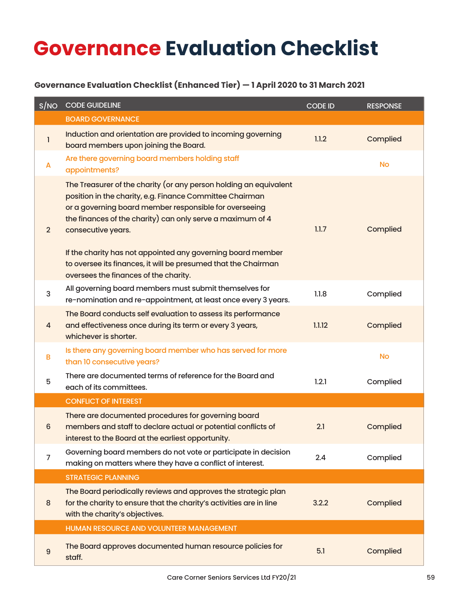## **Governance Evaluation Checklist**

## **Governance Evaluation Checklist (Enhanced Tier) — 1 April 2020 to 31 March 2021**

| S/NO             | <b>CODE GUIDELINE</b>                                                                                                                                                                                                                                                                                                                                                                                                                                 | <b>CODE ID</b> | <b>RESPONSE</b> |
|------------------|-------------------------------------------------------------------------------------------------------------------------------------------------------------------------------------------------------------------------------------------------------------------------------------------------------------------------------------------------------------------------------------------------------------------------------------------------------|----------------|-----------------|
|                  | <b>BOARD GOVERNANCE</b>                                                                                                                                                                                                                                                                                                                                                                                                                               |                |                 |
| 1                | Induction and orientation are provided to incoming governing<br>board members upon joining the Board.                                                                                                                                                                                                                                                                                                                                                 | 1.1.2          | Complied        |
| A                | Are there governing board members holding staff<br>appointments?                                                                                                                                                                                                                                                                                                                                                                                      |                | <b>No</b>       |
| $\overline{2}$   | The Treasurer of the charity (or any person holding an equivalent<br>position in the charity, e.g. Finance Committee Chairman<br>or a governing board member responsible for overseeing<br>the finances of the charity) can only serve a maximum of 4<br>consecutive years.<br>If the charity has not appointed any governing board member<br>to oversee its finances, it will be presumed that the Chairman<br>oversees the finances of the charity. | 1.1.7          | Complied        |
| 3                | All governing board members must submit themselves for<br>re-nomination and re-appointment, at least once every 3 years.                                                                                                                                                                                                                                                                                                                              | 1.1.8          | Complied        |
| 4                | The Board conducts self evaluation to assess its performance<br>and effectiveness once during its term or every 3 years,<br>whichever is shorter.                                                                                                                                                                                                                                                                                                     | 1.1.12         | Complied        |
| В                | Is there any governing board member who has served for more<br>than 10 consecutive years?                                                                                                                                                                                                                                                                                                                                                             |                | <b>No</b>       |
| 5                | There are documented terms of reference for the Board and<br>each of its committees.                                                                                                                                                                                                                                                                                                                                                                  | 1.2.1          | Complied        |
|                  | <b>CONFLICT OF INTEREST</b>                                                                                                                                                                                                                                                                                                                                                                                                                           |                |                 |
| 6                | There are documented procedures for governing board<br>members and staff to declare actual or potential conflicts of<br>interest to the Board at the earliest opportunity.                                                                                                                                                                                                                                                                            | 2.1            | Complied        |
| 7                | Governing board members do not vote or participate in decision<br>making on matters where they have a conflict of interest.                                                                                                                                                                                                                                                                                                                           | 2.4            | Complied        |
|                  | <b>STRATEGIC PLANNING</b>                                                                                                                                                                                                                                                                                                                                                                                                                             |                |                 |
| $\bf 8$          | The Board periodically reviews and approves the strategic plan<br>for the charity to ensure that the charity's activities are in line<br>with the charity's objectives.                                                                                                                                                                                                                                                                               | 3.2.2          | Complied        |
|                  | HUMAN RESOURCE AND VOLUNTEER MANAGEMENT                                                                                                                                                                                                                                                                                                                                                                                                               |                |                 |
| $\boldsymbol{9}$ | The Board approves documented human resource policies for<br>staff.                                                                                                                                                                                                                                                                                                                                                                                   | 5.1            | Complied        |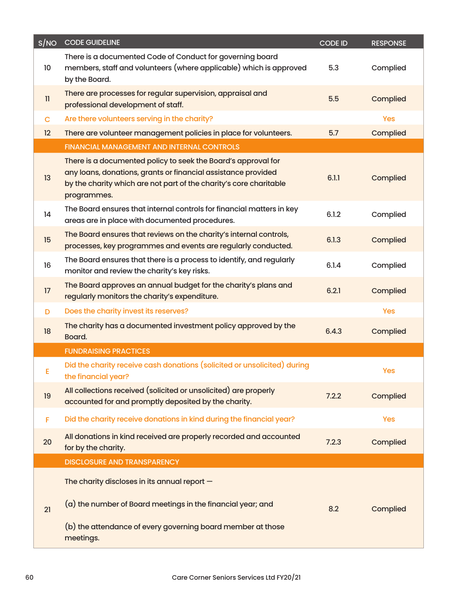| S/NO          | <b>CODE GUIDELINE</b>                                                                                                                                                                                               | <b>CODE ID</b> | <b>RESPONSE</b> |
|---------------|---------------------------------------------------------------------------------------------------------------------------------------------------------------------------------------------------------------------|----------------|-----------------|
| 10            | There is a documented Code of Conduct for governing board<br>members, staff and volunteers (where applicable) which is approved<br>by the Board.                                                                    | 5.3            | Complied        |
| $\mathbf{11}$ | There are processes for regular supervision, appraisal and<br>professional development of staff.                                                                                                                    | 5.5            | Complied        |
| $\mathbf C$   | Are there volunteers serving in the charity?                                                                                                                                                                        |                | Yes             |
| 12            | There are volunteer management policies in place for volunteers.                                                                                                                                                    | 5.7            | Complied        |
|               | FINANCIAL MANAGEMENT AND INTERNAL CONTROLS                                                                                                                                                                          |                |                 |
| 13            | There is a documented policy to seek the Board's approval for<br>any loans, donations, grants or financial assistance provided<br>by the charity which are not part of the charity's core charitable<br>programmes. | 6.1.1          | Complied        |
| 14            | The Board ensures that internal controls for financial matters in key<br>areas are in place with documented procedures.                                                                                             | 6.1.2          | Complied        |
| 15            | The Board ensures that reviews on the charity's internal controls,<br>processes, key programmes and events are regularly conducted.                                                                                 | 6.1.3          | Complied        |
| 16            | The Board ensures that there is a process to identify, and regularly<br>monitor and review the charity's key risks.                                                                                                 | 6.1.4          | Complied        |
| 17            | The Board approves an annual budget for the charity's plans and<br>regularly monitors the charity's expenditure.                                                                                                    | 6.2.1          | Complied        |
| D             | Does the charity invest its reserves?                                                                                                                                                                               |                | Yes             |
| 18            | The charity has a documented investment policy approved by the<br>Board.                                                                                                                                            | 6.4.3          | Complied        |
|               | <b>FUNDRAISING PRACTICES</b>                                                                                                                                                                                        |                |                 |
| Е             | Did the charity receive cash donations (solicited or unsolicited) during<br>the financial year?                                                                                                                     |                | <b>Yes</b>      |
| 19            | All collections received (solicited or unsolicited) are properly<br>accounted for and promptly deposited by the charity.                                                                                            | 7.2.2          | Complied        |
| F             | Did the charity receive donations in kind during the financial year?                                                                                                                                                |                | <b>Yes</b>      |
| 20            | All donations in kind received are properly recorded and accounted<br>for by the charity.                                                                                                                           | 7.2.3          | Complied        |
|               | <b>DISCLOSURE AND TRANSPARENCY</b>                                                                                                                                                                                  |                |                 |
|               | The charity discloses in its annual report $-$                                                                                                                                                                      |                |                 |
| 21            | (a) the number of Board meetings in the financial year; and                                                                                                                                                         | 8.2            | Complied        |
|               | (b) the attendance of every governing board member at those<br>meetings.                                                                                                                                            |                |                 |